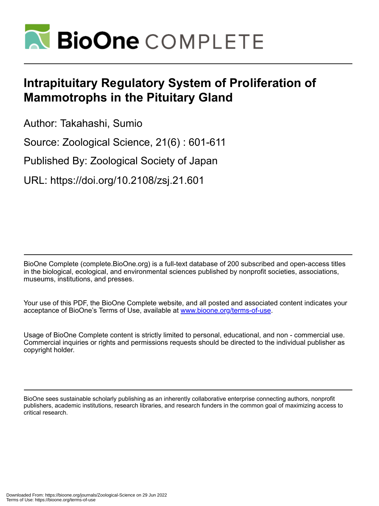

# **Intrapituitary Regulatory System of Proliferation of Mammotrophs in the Pituitary Gland**

Author: Takahashi, Sumio

Source: Zoological Science, 21(6) : 601-611

Published By: Zoological Society of Japan

URL: https://doi.org/10.2108/zsj.21.601

BioOne Complete (complete.BioOne.org) is a full-text database of 200 subscribed and open-access titles in the biological, ecological, and environmental sciences published by nonprofit societies, associations, museums, institutions, and presses.

Your use of this PDF, the BioOne Complete website, and all posted and associated content indicates your acceptance of BioOne's Terms of Use, available at www.bioone.org/terms-of-use.

Usage of BioOne Complete content is strictly limited to personal, educational, and non - commercial use. Commercial inquiries or rights and permissions requests should be directed to the individual publisher as copyright holder.

BioOne sees sustainable scholarly publishing as an inherently collaborative enterprise connecting authors, nonprofit publishers, academic institutions, research libraries, and research funders in the common goal of maximizing access to critical research.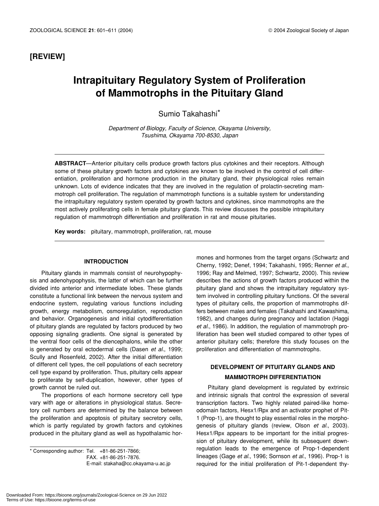### **[REVIEW]**

## **Intrapituitary Regulatory System of Proliferation of Mammotrophs in the Pituitary Gland**

Sumio Takahashi\*

*Department of Biology, Faculty of Science, Okayama University, Tsushima, Okayama 700-8530, Japan*

**ABSTRACT**—Anterior pituitary cells produce growth factors plus cytokines and their receptors. Although some of these pituitary growth factors and cytokines are known to be involved in the control of cell differentiation, proliferation and hormone production in the pituitary gland, their physiological roles remain unknown. Lots of evidence indicates that they are involved in the regulation of prolactin-secreting mammotroph cell proliferation. The regulation of mammotroph functions is a suitable system for understanding the intrapituitary regulatory system operated by growth factors and cytokines, since mammotrophs are the most actively proliferating cells in female pituitary glands. This review discusses the possible intrapituitary regulation of mammotroph differentiation and proliferation in rat and mouse pituitaries.

**Key words:** pituitary, mammotroph, proliferation, rat, mouse

#### **INTRODUCTION**

Pituitary glands in mammals consist of neurohypophysis and adenohypophysis, the latter of which can be further divided into anterior and intermediate lobes. These glands constitute a functional link between the nervous system and endocrine system, regulating various functions including growth, energy metabolism, osmoregulation, reproduction and behavior. Organogenesis and initial cytodifferentiation of pituitary glands are regulated by factors produced by two opposing signaling gradients. One signal is generated by the ventral floor cells of the diencephalons, while the other is generated by oral ectodermal cells (Dasen *et al.*, 1999; Scully and Rosenfeld, 2002). After the initial differentiation of different cell types, the cell populations of each secretory cell type expand by proliferation. Thus, pituitary cells appear to proliferate by self-duplication, however, other types of growth cannot be ruled out.

The proportions of each hormone secretory cell type vary with age or alterations in physiological status. Secretory cell numbers are determined by the balance between the proliferation and apoptosis of pituitary secretory cells, which is partly regulated by growth factors and cytokines produced in the pituitary gland as well as hypothalamic hor-

\* Corresponding author: Tel. +81-86-251-7866; FAX. +81-86-251-7876. E-mail: stakaha@cc.okayama-u.ac.jp mones and hormones from the target organs (Schwartz and Cherny, 1992; Denef, 1994; Takahashi, 1995; Renner *et al.*, 1996; Ray and Melmed, 1997; Schwartz, 2000). This review describes the actions of growth factors produced within the pituitary gland and shows the intrapituitary regulatory system involved in controlling pituitary functions. Of the several types of pituitary cells, the proportion of mammotrophs differs between males and females (Takahashi and Kawashima, 1982), and changes during pregnancy and lactation (Haggi *et al.*, 1986). In addition, the regulation of mammotroph proliferation has been well studied compared to other types of anterior pituitary cells; therefore this study focuses on the proliferation and differentiation of mammotrophs.

## **DEVELOPMENT OF PITUITARY GLANDS AND MAMMOTROPH DIFFERENTIATION**

Pituitary gland development is regulated by extrinsic and intrinsic signals that control the expression of several transcription factors. Two highly related paired-like homeodomain factors, Hesx1/Rpx and an activator prophet of Pit-1 (Prop-1), are thought to play essential roles in the morphogenesis of pituitary glands (review, Olson *et al.*, 2003). Hesx1/Rpx appears to be important for the initial progression of pituitary development, while its subsequent downregulation leads to the emergence of Prop-1-dependent lineages (Gage *et al.*, 1996; Sornson *et al.*, 1996). Prop-1 is required for the initial proliferation of Pit-1-dependent thy-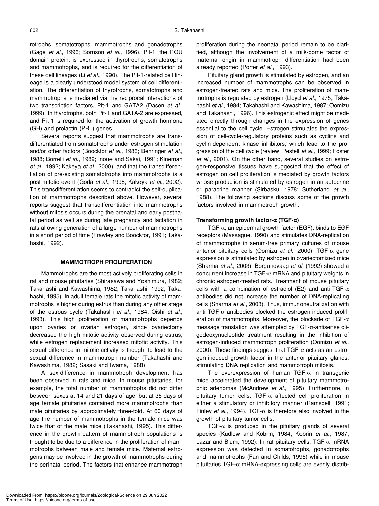rotrophs, somatotrophs, mammotrophs and gonadotrophs (Gage *et al.*, 1996; Sornson *et al.*, 1996). Pit-1, the POU domain protein, is expressed in thyrotrophs, somatotrophs and mammotrophs, and is required for the differentiation of these cell lineages (Li *et al.*, 1990). The Pit-1-related cell lineage is a clearly understood model system of cell differentiation. The differentiation of thyrotrophs, somatotrophs and mammotrophs is mediated via the reciprocal interactions of two transcription factors, Pit-1 and GATA2 (Dasen *et al.*, 1999). In thyrotrophs, both Pit-1 and GATA-2 are expressed, and Pit-1 is required for the activation of growth hormone (GH) and prolactin (PRL) genes.

Several reports suggest that mammotrophs are transdifferentiated from somatotrophs under estrogen stimulation and/or other factors (Boockfor *et al.*, 1986; Behringer *et al.*, 1988; Borrelli *et al.*, 1989; Inoue and Sakai, 1991; Kineman *et al.*, 1992; Kakeya *et al.*, 2000), and that the transdifferentiation of pre-existing somatotrophs into mammotrophs is a post-mitotic event (Goda *et al.*, 1998; Kakeya *et al.*, 2002). This transdifferentiation seems to contradict the self-duplication of mammotrophs described above. However, several reports suggest that transdifferentiation into mammotrophs without mitosis occurs during the prenatal and early postnatal period as well as during late pregnancy and lactation in rats allowing generation of a large number of mammotrophs in a short period of time (Frawley and Boockfor, 1991; Takahashi, 1992).

#### **MAMMOTROPH PROLIFERATION**

Mammotrophs are the most actively proliferating cells in rat and mouse pituitaries (Shirasawa and Yoshimura, 1982; Takahashi and Kawashima, 1982; Takahashi, 1992; Takahashi, 1995). In adult female rats the mitotic activity of mammotrophs is higher during estrus than during any other stage of the estrous cycle (Takahashi *et al.*, 1984; Oishi *et al.*, 1993). This high proliferation of mammotrophs depends upon ovaries or ovarian estrogen, since ovariectomy decreased the high mitotic activity observed during estrus, while estrogen replacement increased mitotic activity. This sexual difference in mitotic activity is thought to lead to the sexual difference in mammotroph number (Takahashi and Kawashima, 1982; Sasaki and Iwama, 1988).

A sex-difference in mammotroph development has been observed in rats and mice. In mouse pituitaries, for example, the total number of mammotrophs did not differ between sexes at 14 and 21 days of age, but at 35 days of age female pituitaries contained more mammotrophs than male pituitaries by approximately three-fold. At 60 days of age the number of mammotrophs in the female mice was twice that of the male mice (Takahashi, 1995). This difference in the growth pattern of mammotroph populations is thought to be due to a difference in the proliferation of mammotrophs between male and female mice. Maternal estrogens may be involved in the growth of mammotrophs during the perinatal period. The factors that enhance mammotroph proliferation during the neonatal period remain to be clarified, although the involvement of a milk-borne factor of maternal origin in mammotroph differentiation had been already reported (Porter *et al.*, 1993).

Pituitary gland growth is stimulated by estrogen, and an increased number of mammotrophs can be observed in estrogen-treated rats and mice. The proliferation of mammotrophs is regulated by estrogen (Lloyd *et al.*, 1975; Takahashi *et al.*, 1984; Takahashi and Kawashima, 1987; Oomizu and Takahashi, 1996). This estrogenic effect might be mediated directly through changes in the expression of genes essential to the cell cycle. Estrogen stimulates the expression of cell-cycle-regulatory proteins such as cyclins and cyclin-dependent kinase inhibitors, which lead to the progression of the cell cycle (review: Pestell *et al.*, 1999; Foster *et al.*, 2001). On the other hand, several studies on estrogen-responsive tissues have suggested that the effect of estrogen on cell proliferation is mediated by growth factors whose production is stimulated by estrogen in an autocrine or paracrine manner (Sirbasku, 1978; Sutherland *et al.*, 1988). The following sections discuss some of the growth factors involved in mammotroph growth.

#### **Transforming growth factor-**α **(TGF-**α**)**

TGF-α, an epidermal growth factor (EGF), binds to EGF receptors (Massague, 1990) and stimulates DNA-replication of mammotrophs in serum-free primary cultures of mouse anterior pituitary cells (Oomizu *et al.*, 2000). TGF-α gene expression is stimulated by estrogen in ovariectomized mice (Sharma *et al.*, 2003). Borgundvaag *et al.* (1992) showed a concurrent increase in TGF- $\alpha$  mRNA and pituitary weights in chronic estrogen-treated rats. Treatment of mouse pituitary cells with a combination of estradiol (E2) and anti-TGF-α antibodies did not increase the number of DNA-replicating cells (Sharma *et al.*, 2003). Thus, immunoneutralization with anti-TGF- $\alpha$  antibodies blocked the estrogen-induced proliferation of mammotrophs. Moreover, the blockade of TGF- $\alpha$ message translation was attempted by  $TGF-\alpha$ -antisense oligodeoxynucleotide treatment resulting in the inhibition of estrogen-induced mammotroph proliferation (Oomizu *et al.*, 2000). These findings suggest that  $TGF-\alpha$  acts as an estrogen-induced growth factor in the anterior pituitary glands, stimulating DNA replication and mammotroph mitosis.

The overexpression of human TGF- $\alpha$  in transgenic mice accelerated the development of pituitary mammotrophic adenomas (McAndrew *et al.*, 1995). Furthermore, in pituitary tumor cells,  $TGF-\alpha$  affected cell proliferation in either a stimulatory or inhibitory manner (Ramsdell, 1991; Finley *et al.*, 1994). TGF- $\alpha$  is therefore also involved in the growth of pituitary tumor cells.

TGF- $\alpha$  is produced in the pituitary glands of several species (Kudlow and Kobrin, 1984; Kobrin *et al.*, 1987; Lazar and Blum, 1992). In rat pituitary cells, TGF- $\alpha$  mRNA expression was detected in somatotrophs, gonadotrophs and mammotrophs (Fan and Childs, 1995) while in mouse pituitaries TGF- $\alpha$  mRNA-expressing cells are evenly distrib-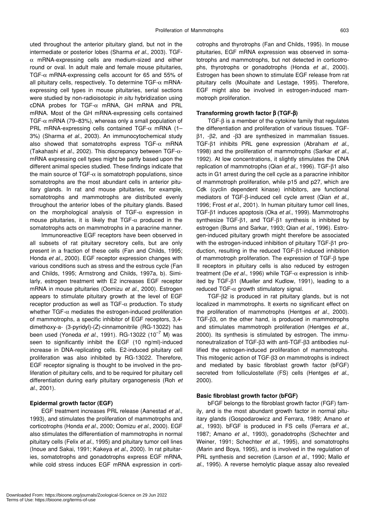uted throughout the anterior pituitary gland, but not in the intermediate or posterior lobes (Sharma *et al.*, 2003). TGF- $\alpha$  mRNA-expressing cells are medium-sized and either round or oval. In adult male and female mouse pituitaries, TGF-α mRNA-expressing cells account for 65 and 55% of all pituitary cells, respectively. To determine TGF- $\alpha$  mRNAexpressing cell types in mouse pituitaries, serial sections were studied by non-radioisotopic *in situ* hybridization using cDNA probes for TGF-α mRNA, GH mRNA and PRL mRNA. Most of the GH mRNA-expressing cells contained TGF- $\alpha$  mRNA (79–83%), whereas only a small population of PRL mRNA-expressing cells contained TGF-α mRNA (1– 3%) (Sharma *et al.*, 2003). An immunocytochemical study also showed that somatotrophs express TGF- $\alpha$  mRNA (Takahashi *et al.*, 2002). This discrepancy between TGF-αmRNA expressing cell types might be partly based upon the different animal species studied. These findings indicate that the main source of TGF- $\alpha$  is somatotroph populations, since somatotrophs are the most abundant cells in anterior pituitary glands. In rat and mouse pituitaries, for example, somatotrophs and mammotrophs are distributed evenly throughout the anterior lobes of the pituitary glands. Based on the morphological analysis of TGF- $\alpha$  expression in mouse pituitaries, it is likely that TGF- $\alpha$  produced in the somatotrophs acts on mammotrophs in a paracrine manner.

Immunoreactive EGF receptors have been observed in all subsets of rat pituitary secretory cells, but are only present in a fraction of these cells (Fan and Childs, 1995; Honda *et al.*, 2000). EGF receptor expression changes with various conditions such as stress and the estrous cycle (Fan and Childs, 1995; Armstrong and Childs, 1997a, b). Similarly, estrogen treatment with E2 increases EGF receptor mRNA in mouse pituitaries (Oomizu *et al.*, 2000). Estrogen appears to stimulate pituitary growth at the level of EGF receptor production as well as TGF- $\alpha$  production. To study whether TGF- $\alpha$  mediates the estrogen-induced proliferation of mammotrophs, a specific inhibitor of EGF receptors, 3,4 dimethoxy-a- (3-pyridyl)-(Z)-cinnamonitrile (RG-13022) has been used (Yoneda *et al.*, 1991). RG-13022 (10–7 M) was seen to significantly inhibit the EGF (10 ng/ml)-induced increase in DNA-replicating cells. E2-induced pituitary cell proliferation was also inhibited by RG-13022. Therefore, EGF receptor signaling is thought to be involved in the proliferation of pituitary cells, and to be required for pituitary cell differentiation during early pituitary organogenesis (Roh *et al.*, 2001).

#### **Epidermal growth factor (EGF)**

EGF treatment increases PRL release (Aanestad *et al.*, 1993), and stimulates the proliferation of mammotrophs and corticotrophs (Honda *et al.*, 2000; Oomizu *et al.*, 2000). EGF also stimulates the differentiation of mammotrophs in normal pituitary cells (Felix *et al.*, 1995) and pituitary tumor cell lines (Inoue and Sakai, 1991; Kakeya *et al.*, 2000). In rat pituitaries, somatotrophs and gonadotrophs express EGF mRNA, while cold stress induces EGF mRNA expression in corticotrophs and thyrotrophs (Fan and Childs, 1995). In mouse pituitaries, EGF mRNA expression was observed in somatotrophs and mammotrophs, but not detected in corticotrophs, thyrotrophs or gonadotrophs (Honda *et al.*, 2000). Estrogen has been shown to stimulate EGF release from rat pituitary cells (Mouihate and Lestage, 1995). Therefore, EGF might also be involved in estrogen-induced mammotroph proliferation.

#### **Transforming growth factor** β **(TGF-**β**)**

TGF-β is a member of the cytokine family that regulates the differentiation and proliferation of various tissues. TGFβ1, -β2, and -β3 are synthesized in mammalian tissues. TGF-β1 inhibits PRL gene expression (Abraham *et al.*, 1998) and the proliferation of mammotrophs (Sarkar *et al.*, 1992). At low concentrations, it slightly stimulates the DNA replication of mammotrophs (Qian *et al.*, 1996). TGF-β1 also acts in G1 arrest during the cell cycle as a paracrine inhibitor of mammotroph proliferation, while p15 and p27, which are Cdk (cyclin dependent kinase) inhibitors, are functional mediators of TGF-β-induced cell cycle arrest (Qian *et al.*, 1996; Frost *et al.*, 2001). In human pituitary tumor cell lines, TGF-β1 induces apoptosis (Oka *et al.*, 1999). Mammotrophs synthesize TGF-β1, and TGF-β1 synthesis is inhibited by estrogen (Burns and Sarkar, 1993; Qian *et al.*, 1996). Estrogen-induced pituitary growth might therefore be associated with the estrogen-induced inhibition of pituitary TGF-β1 production, resulting in the reduced TGF-β1-induced inhibition of mammotroph proliferation. The expression of TGF-β type II receptors in pituitary cells is also reduced by estrogen treatment (De *et al.*, 1996) while TGF-α expression is inhibited by TGF-β1 (Mueller and Kudlow, 1991), leading to a reduced TGF- $\alpha$  growth stimulatory signal.

TGF-β2 is produced in rat pituitary glands, but is not localized in mammotrophs. It exerts no significant effect on the proliferation of mammotrophs (Hentges *et al.*, 2000). TGF-β3, on the other hand, is produced in mammotrophs and stimulates mammotroph proliferation (Hentges *et al.*, 2000). Its synthesis is stimulated by estrogen. The immunoneutralization of TGF-β3 with anti-TGF-β3 antibodies nullified the estrogen-induced proliferation of mammotrophs. This mitogenic action of TGF-β3 on mammotrophs is indirect and mediated by basic fibroblast growth factor (bFGF) secreted from folliculostellate (FS) cells (Hentges *et al.*, 2000).

#### **Basic fibroblast growth factor (bFGF)**

bFGF belongs to the fibroblast growth factor (FGF) family, and is the most abundant growth factor in normal pituitary glands (Gospodarowicz and Ferrara, 1989; Amano *et al.*, 1993). bFGF is produced in FS cells (Ferrara *et al.*, 1987; Amano *et al.*, 1993), gonadotrophs (Schechter and Weiner, 1991; Schechter *et al.*, 1995), and somatotrophs (Marin and Boya, 1995), and is involved in the regulation of PRL synthesis and secretion (Larson *et al.*, 1990; Mallo *et al.*, 1995). A reverse hemolytic plaque assay also revealed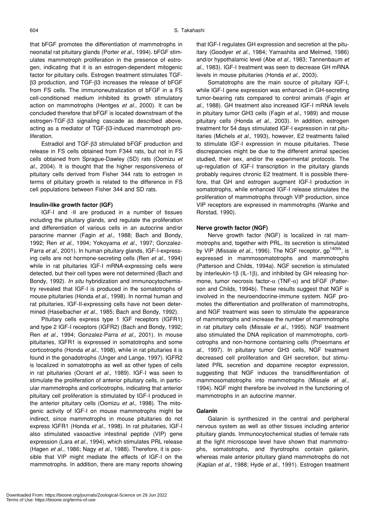that bFGF promotes the differentiation of mammotrophs in neonatal rat pituitary glands (Porter *et al.*, 1994). bFGF stimulates mammotroph proliferation in the presence of estrogen, indicating that it is an estrogen-dependent mitogenic factor for pituitary cells. Estrogen treatment stimulates TGFβ3 production, and TGF-β3 increases the release of bFGF from FS cells. The immunoneutralization of bFGF in a FS cell-conditioned medium inhibited its growth stimulatory action on mammotrophs (Hentges *et al.*, 2000). It can be concluded therefore that bFGF is located downstream of the estrogen-TGF-β3 signaling cascade as described above, acting as a mediator of TGF-β3-induced mammotroph proliferation.

Estradiol and TGF-β3 stimulated bFGF production and release in FS cells obtained from F344 rats, but not in FS cells obtained from Sprague-Dawley (SD) rats (Oomizu *et al.*, 2004). It is thought that the higher responsiveness of pituitary cells derived from Fisher 344 rats to estrogen in terms of pituitary growth is related to the difference in FS cell populations between Fisher 344 and SD rats.

#### **Insulin-like growth factor (IGF)**

IGF-I and -II are produced in a number of tissues including the pituitary glands, and regulate the proliferation and differentiation of various cells in an autocrine and/or paracrine manner (Fagin *et al.*, 1988; Bach and Bondy, 1992; Ren *et al.*, 1994; Yokoyama *et al.*, 1997; Gonzalez-Parra *et al.*, 2001). In human pituitary glands, IGF-I-expressing cells are not hormone-secreting cells (Ren *et al.*, 1994) while in rat pituitaries IGF-I mRNA-expressing cells were detected, but their cell types were not determined (Bach and Bondy, 1992). *In situ* hybridization and immunocytochemistry revealed that IGF-I is produced in the somatotrophs of mouse pituitaries (Honda *et al.*, 1998). In normal human and rat pituitaries, IGF-II-expressing cells have not been determined (Haselbacher *et al.*, 1985; Bach and Bondy, 1992).

Pituitary cells express type 1 IGF receptors (IGFR1) and type 2 IGF-I receptors (IGFR2) (Bach and Bondy, 1992; Ren *et al.*, 1994; Gonzalez-Parra *et al.*, 2001). In mouse pituitaries, IGFR1 is expressed in somatotrophs and some corticotrophs (Honda *et al.*, 1998), while in rat pituitaries it is found in the gonadotrophs (Unger and Lange, 1997). IGFR2 is localized in somatotrophs as well as other types of cells in rat pituitaries (Ocrant *et al.*, 1989). IGF-I was seen to stimulate the proliferation of anterior pituitary cells, in particular mammotrophs and corticotrophs, indicating that anterior pituitary cell proliferation is stimulated by IGF-I produced in the anterior pituitary cells (Oomizu *et al.*, 1998). The mitogenic activity of IGF-I on mouse mammotrophs might be indirect, since mammotrophs in mouse pituitaries do not express IGFR1 (Honda *et al.*, 1998). In rat pituitaries, IGF-I also stimulated vasoactive intestinal peptide (VIP) gene expression (Lara *et al.*, 1994), which stimulates PRL release (Hagen *et al.*, 1986; Nagy *et al.*, 1988). Therefore, it is possible that VIP might mediate the effects of IGF-I on the mammotrophs. In addition, there are many reports showing that IGF-I regulates GH expression and secretion at the pituitary (Goodyer *et al.*, 1984; Yamashita and Melmed, 1986) and/or hypothalamic level (Abe *et al.*, 1983; Tannenbaum *et al.*, 1983). IGF-I treatment was seen to decrease GH mRNA levels in mouse pituitaries (Honda *et al.*, 2003).

Somatotrophs are the main source of pituitary IGF-I, while IGF-I gene expression was enhanced in GH-secreting tumor-bearing rats compared to control animals (Fagin *et al.*, 1988). GH treatment also increased IGF-I mRNA levels in pituitary tumor GH3 cells (Fagin *et al.*, 1989) and mouse pituitary cells (Honda *et al.*, 2003). In addition, estrogen treatment for 54 days stimulated IGF-I expression in rat pituitaries (Michels *et al.*, 1993), however, E2 treatments failed to stimulate IGF-I expression in mouse pituitaries. These discrepancies might be due to the different animal species studied, their sex, and/or the experimental protocols. The up-regulation of IGF-I transcription in the pituitary glands probably requires chronic E2 treatment. It is possible therefore, that GH and estrogen augment IGF-I production in somatotrophs, while enhanced IGF-I release stimulates the proliferation of mammotrophs through VIP production, since VIP receptors are expressed in mammotrophs (Wanke and Rorstad, 1990).

#### **Nerve growth factor (NGF)**

Nerve growth factor (NGF) is localized in rat mammotrophs and, together with PRL, its secretion is stimulated by VIP (Missale *et al.*, 1996). The NGF receptor, gp<sup>140trk</sup>, is expressed in mammosomatotrophs and mammotrophs (Patterson and Childs, 1994a). NGF secretion is stimulated by interleukin-1β (IL-1β), and inhibited by GH releasing hormone, tumor necrosis factor-α (TNF-α) and bFGF (Patterson and Childs, 1994b). These results suggest that NGF is involved in the neuroendocrine-immune system. NGF promotes the differentiation and proliferation of mammotrophs, and NGF treatment was seen to stimulate the appearance of mammotrophs and increase the number of mammotrophs in rat pituitary cells (Missale *et al.*, 1995). NGF treatment also stimulated the DNA replication of mammotrophs, corticotrophs and non-hormone containing cells (Proesmans *et al.*, 1997). In pituitary tumor GH3 cells, NGF treatment decreased cell proliferation and GH secretion, but stimulated PRL secretion and dopamine receptor expression, suggesting that NGF induces the transdifferentiation of mammosomatotrophs into mammotrophs (Missale *et al.*, 1994). NGF might therefore be involved in the functioning of mammotrophs in an autocrine manner.

#### **Galanin**

Galanin is synthesized in the central and peripheral nervous system as well as other tissues including anterior pituitary glands. Immunocytochemical studies of female rats at the light microscope level have shown that mammotrophs, somatotrophs, and thyrotrophs contain galanin, whereas male anterior pituitary gland mammotrophs do not (Kaplan *et al.*, 1988; Hyde *et al.*, 1991). Estrogen treatment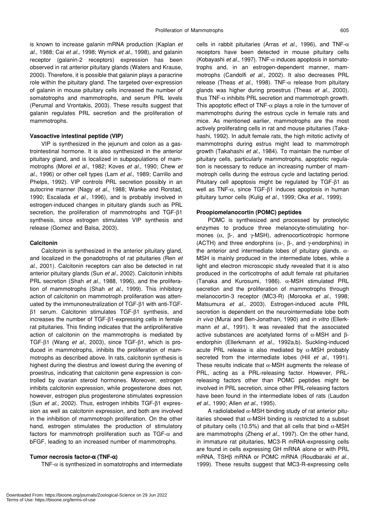is known to increase galanin mRNA production (Kaplan *et al.*, 1988; Cai *et al.*, 1998; Wynick *et al.*, 1998), and galanin receptor (galanin-2 receptors) expression has been observed in rat anterior pituitary glands (Waters and Krause, 2000). Therefore, it is possible that galanin plays a paracrine role within the pituitary gland. The targeted over-expression of galanin in mouse pituitary cells increased the number of somatotrophs and mammotrophs, and serum PRL levels (Perumal and Vrontakis, 2003). These results suggest that galanin regulates PRL secretion and the proliferation of mammotrophs.

#### **Vasoactive intestinal peptide (VIP)**

VIP is synthesized in the jejunum and colon as a gastrointestinal hormone. It is also synthesized in the anterior pituitary gland, and is localized in subpopulations of mammotrophs (Morel *et al.*, 1982; Koves *et al.*, 1990; Chew *et al.*, 1996) or other cell types (Lam *et al.*, 1989; Carrillo and Phelps, 1992). VIP controls PRL secretion possibly in an autocrine manner (Nagy *et al.*, 1988; Wanke and Rorstad, 1990; Escalada *et al.*, 1996), and is probably involved in estrogen-induced changes in pituitary glands such as PRL secretion, the proliferation of mammotrophs and TGF-β1 synthesis, since estrogen stimulates VIP synthesis and release (Gomez and Balsa, 2003).

#### **Calcitonin**

Calcitonin is synthesized in the anterior pituitary gland, and localized in the gonadotrophs of rat pituitaries (Ren *et al.*, 2001). Calcitonin receptors can also be detected in rat anterior pituitary glands (Sun *et al.*, 2002). Calcitonin inhibits PRL secretion (Shah *et al.*, 1988, 1996), and the proliferation of mammotrophs (Shah *et al.*, 1999). This inhibitory action of calcitonin on mammotroph proliferation was attenuated by the immunoneutralization of TGF-β1 with anti-TGFβ1 serum. Calcitonin stimulates TGF-β1 synthesis, and increases the number of TGF-β1-expressing cells in female rat pituitaries. This finding indicates that the antiproliferative action of calcitonin on the mammotrophs is mediated by TGF-β1 (Wang *et al.*, 2003), since TGF-β1, which is produced in mammotrophs, inhibits the proliferation of mammotrophs as described above. In rats, calcitonin synthesis is highest during the diestrus and lowest during the evening of proestrus, indicating that calcitonin gene expression is controlled by ovarian steroid hormones. Moreover, estrogen inhibits calcitonin expression, while progesterone does not, however, estrogen plus progesterone stimulates expression (Sun *et al.*, 2002). Thus, estrogen inhibits TGF-β1 expression as well as calcitonin expression, and both are involved in the inhibition of mammotroph proliferation. On the other hand, estrogen stimulates the production of stimulatory factors for mammotroph proliferation such as TGF- $\alpha$  and bFGF, leading to an increased number of mammotrophs.

#### **Tumor necrosis factor-**α **(TNF-**α**)**

TNF- $\alpha$  is synthesized in somatotrophs and intermediate

cells in rabbit pituitaries (Arras *et al.*, 1996), and TNF-α receptors have been detected in mouse pituitary cells (Kobayashi *et al.*, 1997). TNF-α induces apoptosis in somatotrophs and, in an estrogen-dependent manner, mammotrophs (Candolfi *et al.*, 2002). It also decreases PRL release (Theas *et al.*, 1998). TNF- $α$  release from pituitary glands was higher during proestrus (Theas *et al.*, 2000), thus TNF- $\alpha$  inhibits PRL secretion and mammotroph growth. This apoptotic effect of TNF- $\alpha$  plays a role in the turnover of mammotrophs during the estrous cycle in female rats and mice. As mentioned earlier, mammotrophs are the most actively proliferating cells in rat and mouse pituitaries (Takahashi, 1992). In adult female rats, the high mitotic activity of mammotrophs during estrus might lead to mammotroph growth (Takahashi *et al.*, 1984). To maintain the number of pituitary cells, particularly mammotrophs, apoptotic regulation is necessary to reduce an increasing number of mammotroph cells during the estrous cycle and lactating period. Pituitary cell apoptosis might be regulated by TGF-β1 as well as TNF-α, since TGF-β1 induces apoptosis in human pituitary tumor cells (Kulig *et al.*, 1999; Oka *et al.*, 1999).

#### **Proopiomelanocortin (POMC) peptides**

POMC is synthesized and processed by proteolytic enzymes to produce three melanocyte-stimulating hormones ( $\alpha$ ,  $\beta$ -, and γ-MSH), adrenocorticotropic hormone (ACTH) and three endorphins ( $\alpha$ -,  $\beta$ -, and  $\gamma$ -endorphins) in the anterior and intermediate lobes of pituitary glands.  $α-$ MSH is mainly produced in the intermediate lobes, while a light and electron microscopic study revealed that it is also produced in the corticotrophs of adult female rat pituitaries (Tanaka and Kurosumi, 1986). α-MSH stimulated PRL secretion and the proliferation of mammotrophs through melanocortin-3 receptor (MC3-R) (Morooka *et al.*, 1998; Matsumura *et al.*, 2003). Estrogen-induced acute PRL secretion is dependent on the neurointermediate lobe both *in vivo* (Murai and Ben-Jonathan, 1990) and *in vitro* (Ellerkmann *et al.*, 1991). It was revealed that the associated active substances are acetylated forms of α-MSH and βendorphin (Ellerkmann *et al.*, 1992a,b). Suckling-induced acute PRL release is also mediated by  $\alpha$ -MSH probably secreted from the intermediate lobes (Hill *et al.*, 1991). These results indicate that  $\alpha$ -MSH augments the release of PRL, acting as a PRL-releasing factor. However, PRLreleasing factors other than POMC peptides might be involved in PRL secretion, since other PRL-releasing factors have been found in the intermediate lobes of rats (Laudon *et al.*, 1990; Allen *et al.*, 1995).

A radiolabeled α-MSH binding study of rat anterior pituitaries showed that  $\alpha$ -MSH binding is restricted to a subset of pituitary cells (10.5%) and that all cells that bind α-MSH are mammotrophs (Zheng *et al.*, 1997). On the other hand, in immature rat pituitaries, MC3-R mRNA-expressing cells are found in cells expressing GH mRNA alone or with PRL mRNA, TSHβ mRNA or POMC mRNA (Roudbaraki *et al.*, 1999). These results suggest that MC3-R-expressing cells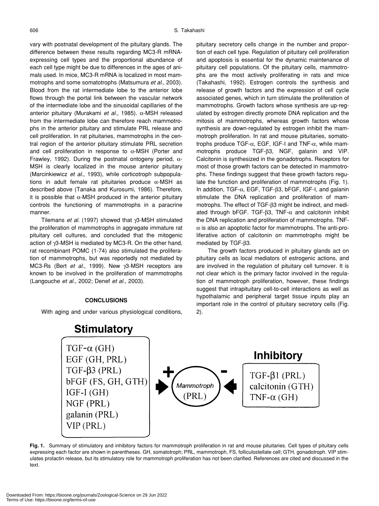vary with postnatal development of the pituitary glands. The difference between these results regarding MC3-R mRNAexpressing cell types and the proportional abundance of each cell type might be due to differences in the ages of animals used. In mice, MC3-R mRNA is localized in most mammotrophs and some somatotrophs (Matsumura *et al.*, 2003). Blood from the rat intermediate lobe to the anterior lobe flows through the portal link between the vascular network of the intermediate lobe and the sinusoidal capillaries of the anterior pituitary (Murakami *et al.*, 1985). α-MSH released from the intermediate lobe can therefore reach mammotrophs in the anterior pituitary and stimulate PRL release and cell proliferation. In rat pituitaries, mammotrophs in the central region of the anterior pituitary stimulate PRL secretion and cell proliferation in response to  $\alpha$ -MSH (Porter and Frawley, 1992). During the postnatal ontogeny period, α-MSH is clearly localized in the mouse anterior pituitary (Marcinkiewicz *et al.*, 1993), while corticotroph subpopulations in adult female rat pituitaries produce  $α$ -MSH as described above (Tanaka and Kurosumi, 1986). Therefore, it is possible that  $\alpha$ -MSH produced in the anterior pituitary controls the functioning of mammotrophs in a paracrine manner.

Tilemans *et al.* (1997) showed that γ3-MSH stimulated the proliferation of mammotrophs in aggregate immature rat pituitary cell cultures, and concluded that the mitogenic action of γ3-MSH is mediated by MC3-R. On the other hand, rat recombinant POMC (1-74) also stimulated the proliferation of mammotrophs, but was reportedly not mediated by MC3-Rs (Bert *et al.*, 1999). New γ3-MSH receptors are known to be involved in the proliferation of mammotrophs (Langouche *et al.*, 2002; Denef *et al.*, 2003).

#### **CONCLUSIONS**

With aging and under various physiological conditions,

pituitary secretory cells change in the number and proportion of each cell type. Regulation of pituitary cell proliferation and apoptosis is essential for the dynamic maintenance of pituitary cell populations. Of the pituitary cells, mammotrophs are the most actively proliferating in rats and mice (Takahashi, 1992). Estrogen controls the synthesis and release of growth factors and the expression of cell cycle associated genes, which in turn stimulate the proliferation of mammotrophs. Growth factors whose synthesis are up-regulated by estrogen directly promote DNA replication and the mitosis of mammotrophs, whereas growth factors whose synthesis are down-regulated by estrogen inhibit the mammotroph proliferation. In rat and mouse pituitaries, somatotrophs produce TGF-α, EGF, IGF-I and TNF-α, while mammotrophs produce TGF-β3, NGF, galanin and VIP. Calcitonin is synthesized in the gonadotrophs. Receptors for most of those growth factors can be detected in mammotrophs. These findings suggest that these growth factors regulate the function and proliferation of mammotrophs (Fig. 1). In addition, TGF-α, EGF, TGF-β3, bFGF, IGF-I, and galanin stimulate the DNA replication and proliferation of mammotrophs. The effect of TGF-β3 might be indirect, and mediated through bFGF. TGF- $\beta$ 3, TNF- $\alpha$  and calcitonin inhibit the DNA replication and proliferation of mammotrophs. TNF- $\alpha$  is also an apoptotic factor for mammotrophs. The anti-proliferative action of calcitonin on mammotrophs might be mediated by TGF-β3.

The growth factors produced in pituitary glands act on pituitary cells as local mediators of estrogenic actions, and are involved in the regulation of pituitary cell turnover. It is not clear which is the primary factor involved in the regulation of mammotroph proliferation, however, these findings suggest that intrapituitary cell-to-cell interactions as well as hypothalamic and peripheral target tissue inputs play an important role in the control of pituitary secretory cells (Fig. 2).



**Fig. 1.** Summary of stimulatory and inhibitory factors for mammotroph proliferation in rat and mouse pituitaries. Cell types of pituitary cells expressing each factor are shown in parentheses. GH, somatotroph; PRL, mammotroph, FS, folliculostellate cell; GTH, gonadotroph. VIP stimulates prolactin release, but its stimulatory role for mammotroph proliferation has not been clarified. References are cited and discussed in the text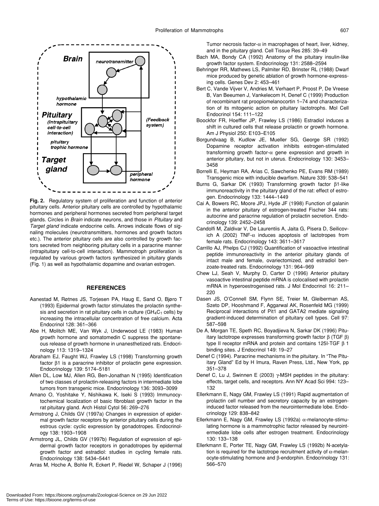

**Fig. 2.** Regulatory system of proliferation and function of anterior pituitary cells. Anterior pituitary cells are controlled by hypothalamic hormones and peripheral hormones secreted from peripheral target glands. Circles in *Brain* indicate neurons, and those in *Pituitary* and *Target gland* indicate endocrine cells. Arrows indicate flows of signaling molecules (neurotransmitters, hormones and growth factors etc.). The anterior pituitary cells are also controlled by growth factors secreted from neighboring pituitary cells in a paracrine manner (intrapituitary cell-to-cell interaction). Mammotroph proliferation is regulated by various growth factors synthesized in pituitary glands (Fig. 1) as well as hypothalamic dopamine and ovarian estrogen.

#### **REFERENCES**

- Aanestad M, Røtnes JS, Torjesen PA, Haug E, Sand O, Bjøro T (1993) Epidermal growth factor stimulates the prolactin synthesis and secretion in rat pituitary cells in culture ( $GH_4C_1$  cells) by increasing the intracellular concentration of free calcium. Acta Endocrinol 128: 361–366
- Abe H, Molitch ME, Van Wyk J, Underwood LE (1983) Human growth hormone and somatomedin C suppress the spontaneous release of growth hormone in unanesthetized rats. Endocrinology 113: 1319–1324
- Abraham EJ, Faught WJ, Frawley LS (1998) Transforming growth factor β1 is a paracrine inhibitor of prolactin gene expression. Endocrinology 139: 5174–5181
- Allen DL, Low MJ, Allen RG, Ben-Jonathan N (1995) Identification of two classes of prolactin-releasing factors in intermediate lobe tumors from transgenic mice. Endocrinology 136: 3093–3099
- Amano O, Yoshitake Y, Nishikawa K, Iseki S (1993) Immunocytochemical localization of basic fibroblast growth factor in the rat pituitary gland. Arch Histol Cytol 56: 269–276
- Armstrong J, Childs GV (1997a) Changes in expression of epidermal growth factor receptors by anterior pituitary cells during the estrous cycle: cyclic expression by gonadotropes. Endocrinology 138: 1903–1908
- Armstrong JL, Childs GV (1997b) Regulation of expression of epidermal growth factor receptors in gonadotropes by epidermal growth factor and estradiol: studies in cycling female rats. Endocrinology 138: 5434–5441
- Arras M, Hoche A, Bohle R, Eckert P, Riedel W, Schaper J (1996)

Tumor necrosis factor- $\alpha$  in macrophages of heart, liver, kidney, and in the pituitary gland. Cell Tissue Res 285: 39–49

- Bach MA, Bondy CA (1992) Anatomy of the pituitary insulin-like growth factor system. Endocrinology 131: 2588–2594
- Behringer RR, Mathews LS, Palmiter RD, Brinster RL (1988) Dwarf mice produced by genetic ablation of growth hormone-expressing cells. Genes Dev 2: 453–461
- Bert C, Vande Vijver V, Andries M, Verhaert P, Proost P, De Vreese B, Van Beeumen J, Vankelecom H, Denef C (1999) Production of recombinant rat proopiomelanocortin 1–74 and characterization of its mitogenic action on pituitary lactotrophs. Mol Cell Endocrinol 154: 111–122
- Boockfor FR, Hoeffler JP, Frawley LS (1986) Estradiol induces a shift in cultured cells that release prolactin or growth hormone. Am J Physiol 250: E103–E105
- Borgundvaag B, Kudlow JE, Mueller SG, George SR (1992) Dopamine receptor activation inhibits estrogen-stimulated transforming growth factor- $\alpha$  gene expression and growth in anterior pituitary, but not in uterus. Endocrinology 130: 3453– 3458
- Borrelli E, Heyman RA, Arias C, Sawchenko PE, Evans RM (1989) Transgenic mice with inducible dwarfism. Nature 339: 538–541
- Burns G, Sarkar DK (1993) Transforming growth factor β1-like immunoreactivity in the pituitary gland of the rat: effect of estrogen. Endocrinology 133: 1444–1449
- Cai A, Bowers RC, Moore JPJ, Hyde JF (1998) Function of galanin in the anterior pituitary of estrogen-treated Fischer 344 rats: autocrine and paracrine regulation of prolactin secretion. Endocrinology 139: 2452–2458
- Candolfi M, Zaldivar V, De Laurentiis A, Jaita G, Pisera D, Seilicovich A (2002) TNF- $\alpha$  induces apoptosis of lactotropes from female rats. Endocrinology 143: 3611–3617
- Carrillo AJ, Phelps CJ (1992) Quantification of vasoactive intestinal peptide immunoreactivity in the anterior pituitary glands of intact male and female, ovariectomized, and estradiol benzoate-treated rats. Endocrinology 131: 964–969
- Chew LJ, Seah V, Murphy D, Carter D (1996) Anterior pituitary vasoactive intestinal peptide mRNA is colocalised with prolactin mRNA in hyperoestrogenised rats. J Mol Endocrinol 16: 211– 220
- Dasen JS, O'Connell SM, Flynn SE, Treier M, Gleiberman AS, Szeto DP, Hooshmand F, Aggarwal AK, Rosenfeld MG (1999) Reciprocal interactions of Pit1 and GATA2 mediate signaling gradient-induced determination of pituitary cell types. Cell 97: 587–598
- De A, Morgan TE, Speth RC, Boyadjieva N, Sarkar DK (1996) Pituitary lactotrope expresses transforming growth factor β (TGF β) type II receptor mRNA and protein and contains 125I-TGF β 1 binding sites. J Endocrinol 149: 19–27
- Denef C (1994). Paracrine mechanisms in the pituitary. In "The Pituitary Gland" Ed by H Imura, Raven Press, Ltd., New York, pp 351–378
- Denef C, Lu J, Swinnen E (2003) γ-MSH peptides in the pituitary: effects, target cells, and receptors. Ann NY Acad Sci 994: 123– 132
- Ellerkmann E, Nagy GM, Frawley LS (1991) Rapid augmentation of prolactin cell number and secretory capacity by an estrogeninduced factor released from the neurointermediate lobe. Endocrinology 129: 838–842
- Ellerkmann E, Nagy GM, Frawley LS (1992a) α-melanocyte-stimulating hormone is a mammotrophic factor released by neurointermediate lobe cells after estrogen treatment. Endocrinology 130: 133–138
- Ellerkmann E, Porter TE, Nagy GM, Frawley LS (1992b) N-acetylation is required for the lactotrope recruitment activity of  $\alpha$ -melanocyte-stimulating hormone and β-endorphin. Endocrinology 131: 566–570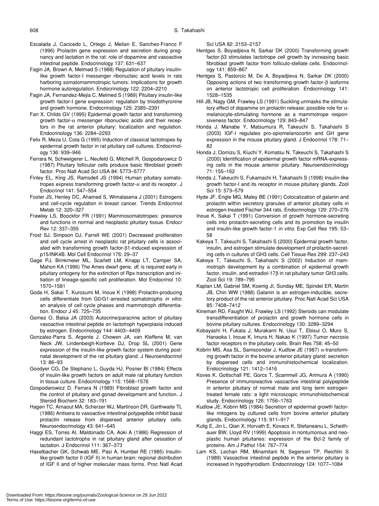- Escalada J, Cacicedo L, Ortego J, Melian E, Sanchez-Franco F (1996) Prolactin gene expression and secretion during pregnancy and lactation in the rat: role of dopamine and vasoactive intestinal peptide. Endocrinology 137: 631–637
- Fagin JA, Brown A, Melmed S (1988) Regulation of pituitary insulinlike growth factor-I messenger ribonucleic acid levels in rats harboring somatomammotropic tumors: implications for growth hormone autoregulation. Endocrinology 122: 2204–2210
- Fagin JA, Fernandez-Mejia C, Melmed S (1989) Pituitary insulin-like growth factor-I gene expression: regulation by triiodothyronine and growth hormone. Endocrinology 125: 2385–2391
- Fan X, Childs GV (1995) Epidermal growth factor and transforming growth factor-α messenger ribonucleic acids and their receptors in the rat anterior pituitary: localization and regulation. Endocrinology 136: 2284–2293
- Felix R, Meza U, Cota G (1995) Induction of classical lactotropes by epidermal growth factor in rat pituitary cell cultures. Endocrinology 136: 939–946
- Ferrara N, Schweigerer L, Neufeld G, Mitchell R, Gospodarowicz D (1987) Pituitary follicular cells produce basic fibroblast growth factor. Proc Natl Acad Sci USA 84: 5773–5777
- Finley EL, King JS, Ramsdell JS (1994) Human pituitary somatotropes express transforming growth factor-α and its receptor. J Endocrinol 141: 547–554
- Foster JS, Henley DC, Ahamed S, Wimalasena J (2001) Estrogens and cell-cycle regulation in breast cancer. Trends Endocrinol Metab 12: 320–327
- Frawley LS, Boockfor FR (1991) Mammosomatotropes: presence and functions in normal and neoplastic pituitary tissue. Endocr Rev 12: 337–355
- Frost SJ, Simpson DJ, Farrell WE (2001) Decreased proliferation and cell cycle arrest in neoplastic rat pituitary cells is associated with transforming growth factor-β1-induced expression of p15/INK4B. Mol Cell Endocrinol 176: 29–37
- Gage PJ, Brinkmeier ML, Scarlett LM, Knapp LT, Camper SA, Mahon KA (1996) The Ames dwarf gene, *df*, is required early in pituitary ontogeny for the extinction of Rpx transcription and initiation of lineage-specific cell proliferation. Mol Endocrinol 10: 1570–1581
- Goda H, Sakai T, Kurosumi M, Inoue K (1998) Prolactin-producing cells differentiate from G0/G1-arrested somatotrophs *in vitro*: an analysis of cell cycle phases and mammotroph differentiation. Endocr J 45: 725–735
- Gomez O, Balsa JA (2003) Autocrine/paracrine action of pituitary vasoactive intestinal peptide on lactotroph hyperplasia induced by estrogen. Endocrinology 144: 4403–4409
- Gonzalez-Parra S, Argente J, Chowen JA, van Kleffens M, van Neck JW, Lindenbeigh-Kortleve DJ, Drop SL (2001) Gene expression of the insulin-like growth factor system during postnatal development of the rat pituitary gland. J Neuroendocrinol 13: 86–93
- Goodyer CG, De Stephano L, Guyda HJ, Posner BI (1984) Effects of insulin-like growth factors on adult male rat pituitary function in tissue culture. Endocrinology 115: 1568–1576
- Gospodarowicz D, Ferrara N (1989) Fibroblast growth factor and the control of pituitary and gonad development and function. J Steroid Biochem 32: 183–191
- Hagen TC, Arnaout MA, Scherzer WJ, Martinson DR, Garthwaite TL (1986) Antisera to vasoactive intestinal polypeptide inhibit basal prolactin release from dispersed anterior pituitary cells. Neuroendocrinology 43: 641–645
- Haggi ES, Torres AI, Maldonado CA, Aoki A (1986) Regression of redundant lactotrophs in rat pituitary gland after cessation of lactation. J Endocrinol 111: 367–373
- Haselbacher GK, Schwab ME, Pasi A, Humbel RE (1985) Insulinlike growth factor II (IGF II) in human brain: regional distribution of IGF II and of higher molecular mass forms. Proc Natl Acad

Sci USA 82: 2153–2157

- Hentges S, Boyadjieva N, Sarkar DK (2000) Transforming growth factor-β3 stimulates lactotrope cell growth by increasing basic fibroblast growth factor from folliculo-stellate cells. Endocrinology 141: 859–867
- Hentges S, Pastorcic M, De A, Boyadjieva N, Sarkar DK (2000) Opposing actions of two transforming growth factor-β isoforms on anterior lactotropic cell proliferation. Endocrinology 141: 1528–1535
- Hill JB, Nagy GM, Frawley LS (1991) Suckling unmasks the stimulatory effect of dopamine on prolactin release: possible role for αmelanocyte-stimulating hormone as a mammotrope responsiveness factor. Endocrinology 129: 843–847
- Honda J, Manabe Y, Matsumura R, Takeuchi S, Takahashi S (2003) IGF-I regulates pro-opiomelanocortin and GH gene expression in the mouse pituitary gland. J Endocrinol 178: 71– 82
- Honda J, Oomizu S, Kiuchi Y, Komatsu N, Takeuchi S, Takahashi S (2000) Identification of epidermal growth factor mRNA-expressing cells in the mouse anterior pituitary. Neuroendocrinology 71: 155–162
- Honda J, Takeuchi S, Fukamachi H, Takahashi S (1998) Insulin-like growth factor-I and its receptor in mouse pituitary glands. Zool Sci 15: 573–579
- Hyde JF, Engle MG, Maley BE (1991) Colocalization of galanin and prolactin within secretory granules of anterior pituitary cells in estrogen-treated Fischer 344 rats. Endocrinology 129: 270–276
- Inoue K, Sakai T (1991) Conversion of growth hormone-secreting cells into prolactin-secreting cells and its promotion by insulin and insulin-like growth factor-1 *in vitro*. Exp Cell Res 195: 53– 58
- Kakeya T, Takeuchi S, Takahashi S (2000) Epidermal growth factor, insulin, and estrogen stimulate development of prolactin-secreting cells in cultures of GH3 cells. Cell Tissue Res 299: 237–243
- Kakeya T, Takeuchi S, Takahashi S (2002) Induction of mammotroph development by a combination of epidermal growth factor, insulin, and estradiol-17β in rat pituitary tumor GH3 cells. Zool Sci 19: 789–795
- Kaplan LM, Gabriel SM, Koenig JI, Sunday ME, Spindel ER, Martin JB, Chin WW (1988) Galanin is an estrogen-inducible, secretory product of the rat anterior pituitary. Proc Natl Acad Sci USA 85: 7408–7412
- Kineman RD, Faught WJ, Frawley LS (1992) Steroids can modulate transdifferentiation of prolactin and growth hormone cells in bovine pituitary cultures. Endocrinology 130: 3289–3294
- Kobayashi H, Fukata J, Murakami N, Usui T, Ebisui O, Muro S, Hanaoka I, Inoue K, Imura H, Nakao K (1997) Tumor necrosis factor receptors in the pituitary cells. Brain Res 758: 45–50
- Kobrin MS, Asa SL, Samsoondar J, Kudlow JE (1987) α-transforming growth factor in the bovine anterior pituitary gland: secretion by dispersed cells and immunohistochemical localization. Endocrinology 121: 1412–1416
- Koves K, Gottschall PE, Gorcs T, Scammell JG, Arimura A (1990) Presence of immunoreactive vasoactive intestinal polypeptide in anterior pituitary of normal male and long term estrogentreated female rats: a light microscopic immunohistochemical study. Endocrinology 126: 1756–1763
- Kudlow JE, Kobrin MS (1984) Secretion of epidermal growth factorlike mitogens by cultured cells from bovine anterior pituitary glands. Endocrinology 115: 911–917
- Kulig E, Jin L, Qian X, Horvath E, Kovacs K, Stefaneanu L, Scheithauer BW, Lloyd RV (1999) Apoptosis in nontumorous and neoplastic human pituitaries: expression of the Bcl-2 family of proteins. Am J Pathol 154: 767–774
- Lam KS, Lechan RM, Minamitani N, Segerson TP, Reichlin S (1989) Vasoactive intestinal peptide in the anterior pituitary is increased in hypothyroidism. Endocrinology 124: 1077–1084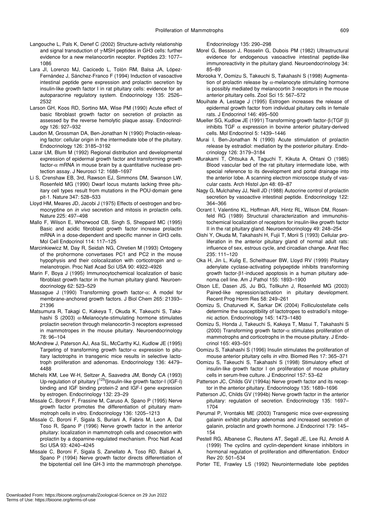- Langouche L, Pals K, Denef C (2002) Structure-activity relationship and signal transduction of γ-MSH peptides in GH3 cells: further evidence for a new melanocortin receptor. Peptides 23: 1077– 1086
- Lara JI, Lorenzo MJ, Cacicedo L, Tolón RM, Balsa JA, López-Fernández J, Sánchez-Franco F (1994) Induction of vasoactive intestinal peptide gene expression and prolactin secretion by insulin-like growth factor I in rat pituitary cells: evidence for an autoparacrine regulatory system. Endocrinology 135: 2526– 2532
- Larson GH, Koos RD, Sortino MA, Wise PM (1990) Acute effect of basic fibroblast growth factor on secretion of prolactin as assessed by the reverse hemolytic plaque assay. Endocrinology 126: 927–932
- Laudon M, Grossman DA, Ben-Jonathan N (1990) Prolactin-releasing factor: cellular origin in the intermediate lobe of the pituitary. Endocrinology 126: 3185–3192
- Lazar LM, Blum M (1992) Regional distribution and developmental expression of epidermal growth factor and transforming growth factor- $\alpha$  mRNA in mouse brain by a quantitative nuclease protection assay. J Neurosci 12: 1688–1697
- Li S, Crenshaw EB, 3rd, Rawson EJ, Simmons DM, Swanson LW, Rosenfeld MG (1990) Dwarf locus mutants lacking three pituitary cell types result from mutations in the POU-domain gene pit-1. Nature 347: 528–533
- Lloyd HM, Meares JD, Jacobi J (1975) Effects of oestrogen and bromocryptine on *in vivo* secretion and mitosis in prolactin cells. Nature 225: 497–498
- Mallo F, Wilson E, Whorwood CB, Singh S, Sheppard MC (1995) Basic and acidic fibroblast growth factor increase prolactin mRNA in a dose-dependent and specific manner in GH3 cells. Mol Cell Endocrinol 114: 117–125
- Marcinkiewicz M, Day R, Seidah NG, Chretien M (1993) Ontogeny of the prohormone convertases PC1 and PC2 in the mouse hypophysis and their colocalization with corticotropin and  $\alpha$ melanotropin. Proc Natl Acad Sci USA 90: 4922–4926
- Marin F, Boya J (1995) Immunocytochemical localization of basic fibroblast growth factor in the human pituitary gland. Neuroendocrinology 62: 523–529
- Massague J (1990) Transforming growth factor-α: A model for membrane-anchored growth factors. J Biol Chem 265: 21393– 21396
- Matsumura R, Takagi C, Kakeya T, Okuda K, Takeuchi S, Takahashi S (2003)  $\alpha$ -Melanocyte-stimulating hormone stimulates prolactin secretion through melanocortin-3 receptors expressed in mammotropes in the mouse pituitary. Neuroendocrinology 78: 96–104
- McAndrew J, Paterson AJ, Asa SL, McCarthy KJ, Kudlow JE (1995) Targeting of transforming growth factor-α expression to pituitary lactotrophs in transgenic mice results in selective lactotroph proliferation and adenomas. Endocrinology 136: 4479– 4488
- Michels KM, Lee W-H, Seltzer A, Saavedra JM, Bondy CA (1993) Up-regulation of pituitary [<sup>125</sup>I]insulin-like growth factor-I (IGF-I) binding and IGF binding protein-2 and IGF-I gene expression by estrogen. Endocrinology 132: 23–29
- Missale C, Boroni F, Frassine M, Caruso A, Spano P (1995) Nerve growth factor promotes the differentiation of pituitary mammotroph cells in vitro. Endocrinology 136: 1205–1213
- Missale C, Boroni F, Sigala S, Buriani A, Fabris M, Leon A, Dal Toso R, Spano P (1996) Nerve growth factor in the anterior pituitary: localization in mammotroph cells and cosecretion with prolactin by a dopamine-regulated mechanism. Proc Natl Acad Sci USA 93: 4240–4245
- Missale C, Boroni F, Sigala S, Zanellato A, Toso RD, Balsari A, Spano P (1994) Nerve growth factor directs differentiation of the bipotential cell line GH-3 into the mammotroph phenotype.

Endocrinology 135: 290–298

- Morel G, Besson J, Rosselin G, Dubois PM (1982) Ultrastructural evidence for endogenous vasoactive intestinal peptide-like immunoreactivity in the pituitary gland. Neuroendocrinology 34: 85–89
- Morooka Y, Oomizu S, Takeuchi S, Takahashi S (1998) Augmentation of prolactin release by  $\alpha$ -melanocyte stimulating hormone is possibly mediated by melanocortin 3-receptors in the mouse anterior pituitary cells. Zool Sci 15: 567–572
- Mouihate A, Lestage J (1995) Estrogen increases the release of epidermal growth factor from individual pituitary cells in female rats. J Endocrinol 146: 495–500
- Mueller SG, Kudlow JE (1991) Transforming growth factor-β (TGF β) inhibits TGF  $\alpha$  expression in bovine anterior pituitary-derived cells. Mol Endocrinol 5: 1439–1446
- Murai I, Ben-Jonathan N (1990) Acute stimulation of prolactin release by estradiol: mediation by the posterior pituitary. Endocrinology 126: 3179–3184
- Murakami T, Ohtsuka A, Taguchi T, Kikuta A, Ohtani O (1985) Blood vascular bed of the rat pituitary intermediate lobe, with special reference to its development and portal drainage into the anterior lobe. A scanning electron microscope study of vascular casts. Arch Histol Jpn 48: 69–87
- Nagy G, Mulchahey JJ, Neill JD (1988) Autocrine control of prolactin secretion by vasoactive intestinal peptide. Endocrinology 122: 364–366
- Ocrant I, Valentino KL, Hoffman AR, Hintz RL, Wilson DM, Rosenfeld RG (1989) Structural characterization and immunohistochemical localization of receptors for insulin-like growth factor II in the rat pituitary gland. Neuroendocrinology 49: 248–254
- Oishi Y, Okuda M, Takahashi H, Fujii T, Morii S (1993) Cellular proliferation in the anterior pituitary gland of normal adult rats: influence of sex, estrous cycle, and circadian change. Anat Rec 235: 111–120
- Oka H, Jin L, Kulig E, Scheithauer BW, Lloyd RV (1999) Pituitary adenylate cyclase-activating polypeptide inhibits transforming growth factor-β1-induced apoptosis in a human pituitary adenoma cell line. Am J Pathol 155: 1893–1900
- Olson LE, Dasen JS, Ju BG, Tollkuhn J, Rosenfeld MG (2003) Paired-like repression/activation in pituitary development. Recent Prog Horm Res 58: 249–261
- Oomizu S, Chaturvedi K, Sarkar DK (2004) Folliculostellate cells determine the susceptibility of lactotropes to estradiol's mitogenic action. Endocrinology 145: 1473–1480
- Oomizu S, Honda J, Takeuchi S, Kakeya T, Masui T, Takahashi S (2000) Transforming growth factor- $\alpha$  stimulates proliferation of mammotrophs and corticotrophs in the mouse pituitary. J Endocrinol 165: 493–501
- Oomizu S, Takahashi S (1996) Insulin stimulates the proliferation of mouse anterior pituitary cells *in vitro*. Biomed Res 17: 365–371
- Oomizu S, Takeuchi S, Takahashi S (1998) Stimulatory effect of insulin-like growth factor I on proliferation of mouse pituitary cells in serum-free culture. J Endocrinol 157: 53–62
- Patterson JC, Childs GV (1994a) Nerve growth factor and its receptor in the anterior pituitary. Endocrinology 135: 1689–1696
- Patterson JC, Childs GV (1994b) Nerve growth factor in the anterior pituitary: regulation of secretion. Endocrinology 135: 1697– 1704
- Perumal P, Vrontakis ME (2003) Transgenic mice over-expressing galanin exhibit pituitary adenomas and increased secretion of galanin, prolactin and growth hormone. J Endocrinol 179: 145– 154
- Pestell RG, Albanese C, Reutens AT, Segall JE, Lee RJ, Arnold A (1999) The cyclins and cyclin-dependent kinase inhibitors in hormonal regulation of proliferation and differentiation. Endocr Rev 20: 501–534
- Porter TE, Frawley LS (1992) Neurointermediate lobe peptides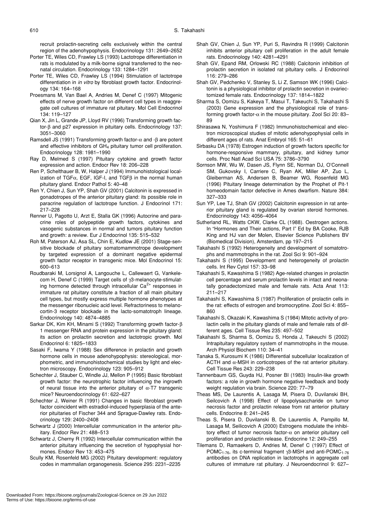recruit prolactin-secreting cells exclusively within the central region of the adenohypophysis. Endocrinology 131: 2649–2652

- Porter TE, Wiles CD, Frawley LS (1993) Lactotrope differentiation in rats is modulated by a milk-borne signal transferred to the neonatal circulation. Endocrinology 133: 1284–1291
- Porter TE, Wiles CD, Frawley LS (1994) Stimulation of lactotrope differentiation in *in vitro* by fibroblast growth factor. Endocrinology 134: 164–168
- Proesmans M, Van Bael A, Andries M, Denef C (1997) Mitogenic effects of nerve growth factor on different cell types in reaggregate cell cultures of immature rat pituitary. Mol Cell Endocrinol 134: 119–127
- Qian X, Jin L, Grande JP, Lloyd RV (1996) Transforming growth factor-β and p27 expression in pituitary cells. Endocrinology 137: 3051–3060
- Ramsdell JS (1991) Transforming growth factor-α and -β are potent and effective inhibitors of GH4 pituitary tumor cell proliferation. Endocrinology 128: 1981–1990
- Ray D, Melmed S (1997) Pituitary cytokine and growth factor expression and action. Endocr Rev 18: 206–228
- Ren P, Schelthauer B, W, Halper J (1994) Immunohistological localization of TGFα, EGF, IGF-I, and TGFβ in the normal human pituitary gland. Endocr Pathol 5: 40–48
- Ren Y, Chien J, Sun YP, Shah GV (2001) Calcitonin is expressed in gonadotropes of the anterior pituitary gland: its possible role in paracrine regulation of lactotrope function. J Endocrinol 171: 217–228
- Renner U, Pagotto U, Arzt E, Stalla GK (1996) Autocrine and paracrine roles of polypeptide growth factors, cytokines and vasogenic substances in normal and tumors pituitary function and growth: a review. Eur J Endocrinol 135: 515–532
- Roh M, Paterson AJ, Asa SL, Chin E, Kudlow JE (2001) Stage-sensitive blockade of pituitary somatomammotrope development by targeted expression of a dominant negative epidermal growth factor receptor in transgenic mice. Mol Endocrinol 15: 600–613
- Roudbaraki M, Lorsignol A, Langouche L, Callewaert G, Vankelecom H, Denef C (1999) Target cells of γ3-melanocyte-stimulating hormone detected through intracellular  $Ca<sup>2+</sup>$  responses in immature rat pituitary constitute a fraction of all main pituitary cell types, but mostly express multiple hormone phenotypes at the messenger ribonucleic acid level. Refractoriness to melanocortin-3 receptor blockade in the lacto-somatotroph lineage. Endocrinology 140: 4874–4885
- Sarkar DK, Kim KH, Minami S (1992) Transforming growth factor-β 1 messenger RNA and protein expression in the pituitary gland: its action on prolactin secretion and lactotropic growth. Mol Endocrinol 6: 1825–1833
- Sasaki F, Iwama Y (1988) Sex difference in prolactin and growth hormone cells in mouse adenohypophysis: stereological, morphometric, and immunohistochemical studies by light and electron microscopy. Endocrinology 123: 905–912
- Schechter J, Stauber C, Windle JJ, Mellon P (1995) Basic fibroblast growth factor: the neurotrophic factor influencing the ingrowth of neural tissue into the anterior pituitary of  $\alpha$ -T7 transgenic mice? Neuroendocrinology 61: 622–627
- Schechter J, Weiner R (1991) Changes in basic fibroblast growth factor coincident with estradiol-induced hyperplasia of the anterior pituitaries of Fischer 344 and Sprague-Dawley rats. Endocrinology 129: 2400–2408
- Schwartz J (2000) Intercellular communication in the anterior pituitary. Endocr Rev 21: 488–513
- Schwartz J, Cherny R (1992) Intercellular communication within the anterior pituitary influencing the secretion of hypophysial hormones. Endocr Rev 13: 453–475
- Scully KM, Rosenfeld MG (2002) Pituitary development: regulatory codes in mammalian organogenesis. Science 295: 2231–2235
- Shah GV, Chien J, Sun YP, Puri S, Ravindra R (1999) Calcitonin inhibits anterior pituitary cell proliferation in the adult female rats. Endocrinology 140: 4281–4291
- Shah GV, Epand RM, Orlowski RC (1988) Calcitonin inhibition of prolactin secretion in isolated rat pituitary cells. J Endocrinol 116: 279–286
- Shah GV, Pedchenko V, Stanley S, Li Z, Samson WK (1996) Calcitonin is a physiological inhibitor of prolactin secretion in ovariectomized female rats. Endocrinology 137: 1814–1822
- Sharma S, Oomizu S, Kakeya T, Masui T, Takeuchi S, Takahashi S (2003) Gene expression and the physiological role of transforming growth factor- $\alpha$  in the mouse pituitary. Zool Sci 20: 83– 89
- Shirasawa N, Yoshimura F (1982) Immunohistochemical and electron microscopical studies of mitotic adenohypophysial cells in different ages of rats. Anat Embryol 165: 51–61
- Sirbasku DA (1978) Estrogen induction of growth factors specific for hormone-responsive mammary, pituitary, and kidney tumor cells. Proc Natl Acad Sci USA 75: 3786–3790
- Sornson MW, Wu W, Dasen JS, Flynn SE, Norman DJ, O'Connell SM, Gukovsky I, Carriere C, Ryan AK, Miller AP, Zuo L, Gleiberman AS, Andersen B, Beamer WG, Rosenfeld MG (1996) Pituitary lineage determination by the Prophet of Pit-1 homeodomain factor defective in Ames dwarfism. Nature 384: 327–333
- Sun YP, Lee TJ, Shah GV (2002) Calcitonin expression in rat anterior pituitary gland is regulated by ovarian steroid hormones. Endocrinology 143: 4056–4064
- Sutherland RL, Watts CKW, Clarke CL (1988). Oestrogen actions. In "Hormones and Their actions, Part I" Ed by BA Cooke, RJB King and HJ van der Molen, Elsevier Science Publishers BV (Biomedical Division), Amsterdam, pp 197–215
- Takahashi S (1992) Heterogeneity and development of somatotrophs and mammotrophs in the rat. Zool Sci 9: 901–924
- Takahashi S (1995) Development and heterogeneity of prolactin cells. Int Rev Cytol 157: 33–98
- Takahashi S, Kawashima S (1982) Age-related changes in prolactin cell percentage and serum prolactin levels in intact and neonatally gonadectomized male and female rats. Acta Anat 113: 211–217
- Takahashi S, Kawashima S (1987) Proliferation of prolactin cells in the rat: effects of estrogen and bromocryptine. Zool Sci 4: 855– 860
- Takahashi S, Okazaki K, Kawashima S (1984) Mitotic activity of prolactin cells in the pituitary glands of male and female rats of different ages. Cell Tissue Res 235: 497–502
- Takahashi S, Sharma S, Oomizu S, Honda J, Takeuchi S (2002) Intrapituitary regulatory system of mammotrophs in the mouse. Arch Physiol Biochem 110: 34–41
- Tanaka S, Kurosumi K (1986) Differential subcellular localization of ACTH and  $\alpha$ -MSH in corticotropes of the rat anterior pituitary. Cell Tissue Res 243: 229–238
- Tannenbaum GS, Guyda HJ, Posner BI (1983) Insulin-like growth factors: a role in growth hormone negative feedback and body weight regulation via brain. Science 220: 77–79
- Theas MS, De Laurentis A, Lasaga M, Pisera D, Duvilanski BH, Seilcovich A (1998) Effect of lipopolysaccharide on tumor necrosis factor and prolactin release from rat anterior pituitary cells. Endocrine 8: 241–245
- Theas S, Pisera D, Duvilanski B, De Laurentiis A, Pampillo M, Lasaga M, Seilicovich A (2000) Estrogens modulate the inhibitory effect of tumor necrosis factor-α on anterior pituitary cell proliferation and prolactin release. Endocrine 12: 249–255
- Tilemans D, Ramaekers D, Andries M, Denef C (1997) Effect of POMC<sub>1-76</sub>, its c-terminal fragment γ3-MSH and anti-POMC<sub>1-76</sub> antibodies on DNA replication in lactotrophs in aggregate cell cultures of immature rat pituitary. J Neuroendocrinol 9: 627–